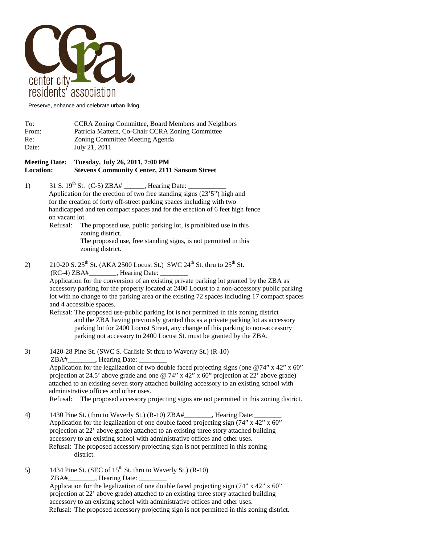

Preserve, enhance and celebrate urban living

| To:   | CCRA Zoning Committee, Board Members and Neighbors |
|-------|----------------------------------------------------|
| From: | Patricia Mattern, Co-Chair CCRA Zoning Committee   |
| Re:   | Zoning Committee Meeting Agenda                    |
| Date: | July 21, 2011                                      |

## **Meeting Date: Tuesday, July 26, 2011, 7:00 PM Location: Stevens Community Center, 2111 Sansom Street**

- 1) 31 S.  $19^{th}$  St. (C-5) ZBA# \_\_\_\_\_\_, Hearing Date: Application for the erection of two free standing signs (23'5") high and for the creation of forty off-street parking spaces including with two handicapped and ten compact spaces and for the erection of 6 feet high fence on vacant lot.
	- Refusal: The proposed use, public parking lot, is prohibited use in this zoning district. The proposed use, free standing signs, is not permitted in this zoning district.
- 2) 210-20 S.  $25^{th}$  St. (AKA 2500 Locust St.) SWC  $24^{th}$  St. thru to  $25^{th}$  St. (RC-4) ZBA#\_\_\_\_\_\_\_\_, Hearing Date: \_\_\_\_\_\_\_\_

Application for the conversion of an existing private parking lot granted by the ZBA as accessory parking for the property located at 2400 Locust to a non-accessory public parking lot with no change to the parking area or the existing 72 spaces including 17 compact spaces and 4 accessible spaces.

Refusal: The proposed use-public parking lot is not permitted in this zoning district and the ZBA having previously granted this as a private parking lot as accessory parking lot for 2400 Locust Street, any change of this parking to non-accessory parking not accessory to 2400 Locust St. must be granted by the ZBA.

3) 1420-28 Pine St. (SWC S. Carlisle St thru to Waverly St.) (R-10) ZBA#\_\_\_\_\_\_\_\_\_, Hearing Date: Application for the legalization of two double faced projecting signs (one  $\omega$ 74" x 42" x 60" projection at 24.5' above grade and one  $\mathcal{O}(74)$ " x 42" x 60" projection at 22' above grade) attached to an existing seven story attached building accessory to an existing school with administrative offices and other uses.

Refusal: The proposed accessory projecting signs are not permitted in this zoning district.

- 4) 1430 Pine St. (thru to Waverly St.) (R-10) ZBA#, Hearing Date: Application for the legalization of one double faced projecting sign (74" x 42" x 60" projection at 22' above grade) attached to an existing three story attached building accessory to an existing school with administrative offices and other uses. Refusal: The proposed accessory projecting sign is not permitted in this zoning district.
- 5) 1434 Pine St. (SEC of  $15<sup>th</sup>$  St. thru to Waverly St.) (R-10) ZBA# Fearing Date: Application for the legalization of one double faced projecting sign (74" x 42" x 60" projection at 22' above grade) attached to an existing three story attached building accessory to an existing school with administrative offices and other uses. Refusal: The proposed accessory projecting sign is not permitted in this zoning district.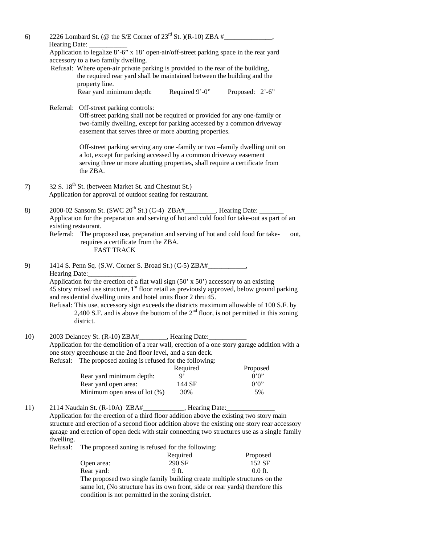| 6)  | Hearing Date:                                                                                                                                                                                                                                                                                                                                                                                                                                                                                                                                                                       |                                                                                                                                                                                                                                                          |                    |                    |  |  |  |
|-----|-------------------------------------------------------------------------------------------------------------------------------------------------------------------------------------------------------------------------------------------------------------------------------------------------------------------------------------------------------------------------------------------------------------------------------------------------------------------------------------------------------------------------------------------------------------------------------------|----------------------------------------------------------------------------------------------------------------------------------------------------------------------------------------------------------------------------------------------------------|--------------------|--------------------|--|--|--|
|     | Application to legalize 8'-6" x 18' open-air/off-street parking space in the rear yard                                                                                                                                                                                                                                                                                                                                                                                                                                                                                              |                                                                                                                                                                                                                                                          |                    |                    |  |  |  |
|     | accessory to a two family dwelling.<br>Refusal: Where open-air private parking is provided to the rear of the building,                                                                                                                                                                                                                                                                                                                                                                                                                                                             |                                                                                                                                                                                                                                                          |                    |                    |  |  |  |
|     |                                                                                                                                                                                                                                                                                                                                                                                                                                                                                                                                                                                     |                                                                                                                                                                                                                                                          |                    |                    |  |  |  |
|     |                                                                                                                                                                                                                                                                                                                                                                                                                                                                                                                                                                                     | the required rear yard shall be maintained between the building and the<br>property line.                                                                                                                                                                |                    |                    |  |  |  |
|     |                                                                                                                                                                                                                                                                                                                                                                                                                                                                                                                                                                                     | Rear yard minimum depth:                                                                                                                                                                                                                                 | Required 9'-0"     | Proposed: 2'-6"    |  |  |  |
|     |                                                                                                                                                                                                                                                                                                                                                                                                                                                                                                                                                                                     | Referral: Off-street parking controls:<br>Off-street parking shall not be required or provided for any one-family or<br>two-family dwelling, except for parking accessed by a common driveway<br>easement that serves three or more abutting properties. |                    |                    |  |  |  |
|     | Off-street parking serving any one-family or two-family dwelling unit on<br>a lot, except for parking accessed by a common driveway easement<br>serving three or more abutting properties, shall require a certificate from<br>the ZBA.                                                                                                                                                                                                                                                                                                                                             |                                                                                                                                                                                                                                                          |                    |                    |  |  |  |
| 7)  | 32 S. 18 <sup>th</sup> St. (between Market St. and Chestnut St.)<br>Application for approval of outdoor seating for restaurant.                                                                                                                                                                                                                                                                                                                                                                                                                                                     |                                                                                                                                                                                                                                                          |                    |                    |  |  |  |
| 8)  | 2000-02 Sansom St. (SWC 20 <sup>th</sup> St.) (C-4) ZBA#_________. Hearing Date:<br>Application for the preparation and serving of hot and cold food for take-out as part of an<br>existing restaurant.<br>Referral: The proposed use, preparation and serving of hot and cold food for take-<br>out,<br>requires a certificate from the ZBA.<br><b>FAST TRACK</b>                                                                                                                                                                                                                  |                                                                                                                                                                                                                                                          |                    |                    |  |  |  |
| 9)  | 1414 S. Penn Sq. (S.W. Corner S. Broad St.) (C-5) ZBA#___________________________<br>Hearing Date:<br>Application for the erection of a flat wall sign $(50' \times 50')$ accessory to an existing<br>45 story mixed use structure, 1 <sup>st</sup> floor retail as previously approved, below ground parking<br>and residential dwelling units and hotel units floor 2 thru 45.<br>Refusal: This use, accessory sign exceeds the districts maximum allowable of 100 S.F. by<br>2,400 S.F. and is above the bottom of the $2nd$ floor, is not permitted in this zoning<br>district. |                                                                                                                                                                                                                                                          |                    |                    |  |  |  |
| 10) |                                                                                                                                                                                                                                                                                                                                                                                                                                                                                                                                                                                     | 2003 Delancey St. (R-10) ZBA#                                                                                                                                                                                                                            | , Hearing Date:    |                    |  |  |  |
|     |                                                                                                                                                                                                                                                                                                                                                                                                                                                                                                                                                                                     | Application for the demolition of a rear wall, erection of a one story garage addition with a                                                                                                                                                            |                    |                    |  |  |  |
|     |                                                                                                                                                                                                                                                                                                                                                                                                                                                                                                                                                                                     | one story greenhouse at the 2nd floor level, and a sun deck.                                                                                                                                                                                             |                    |                    |  |  |  |
|     | Refusal:                                                                                                                                                                                                                                                                                                                                                                                                                                                                                                                                                                            | The proposed zoning is refused for the following:                                                                                                                                                                                                        |                    |                    |  |  |  |
|     |                                                                                                                                                                                                                                                                                                                                                                                                                                                                                                                                                                                     |                                                                                                                                                                                                                                                          | Required           | Proposed           |  |  |  |
|     |                                                                                                                                                                                                                                                                                                                                                                                                                                                                                                                                                                                     | Rear yard minimum depth:                                                                                                                                                                                                                                 | 9"<br>144 SF       | 0.0<br>0.0         |  |  |  |
|     |                                                                                                                                                                                                                                                                                                                                                                                                                                                                                                                                                                                     | Rear yard open area:<br>Minimum open area of lot $(\%)$                                                                                                                                                                                                  | 30%                | 5%                 |  |  |  |
| 11) | 2114 Naudain St. (R-10A) ZBA#____________, Hearing Date:___________<br>Application for the erection of a third floor addition above the existing two story main<br>structure and erection of a second floor addition above the existing one story rear accessory<br>garage and erection of open deck with stair connecting two structures use as a single family                                                                                                                                                                                                                    |                                                                                                                                                                                                                                                          |                    |                    |  |  |  |
|     | dwelling.<br>Refusal:                                                                                                                                                                                                                                                                                                                                                                                                                                                                                                                                                               | The proposed zoning is refused for the following:                                                                                                                                                                                                        |                    |                    |  |  |  |
|     |                                                                                                                                                                                                                                                                                                                                                                                                                                                                                                                                                                                     | Open area:                                                                                                                                                                                                                                               | Required<br>290 SF | Proposed<br>152 SF |  |  |  |
|     |                                                                                                                                                                                                                                                                                                                                                                                                                                                                                                                                                                                     | Rear yard:                                                                                                                                                                                                                                               | 9 ft.              | $0.0$ ft.          |  |  |  |
|     |                                                                                                                                                                                                                                                                                                                                                                                                                                                                                                                                                                                     | The proposed two single family building create multiple structures on the                                                                                                                                                                                |                    |                    |  |  |  |
|     |                                                                                                                                                                                                                                                                                                                                                                                                                                                                                                                                                                                     | same lot, (No structure has its own front, side or rear yards) therefore this                                                                                                                                                                            |                    |                    |  |  |  |
|     |                                                                                                                                                                                                                                                                                                                                                                                                                                                                                                                                                                                     | condition is not permitted in the zoning district.                                                                                                                                                                                                       |                    |                    |  |  |  |